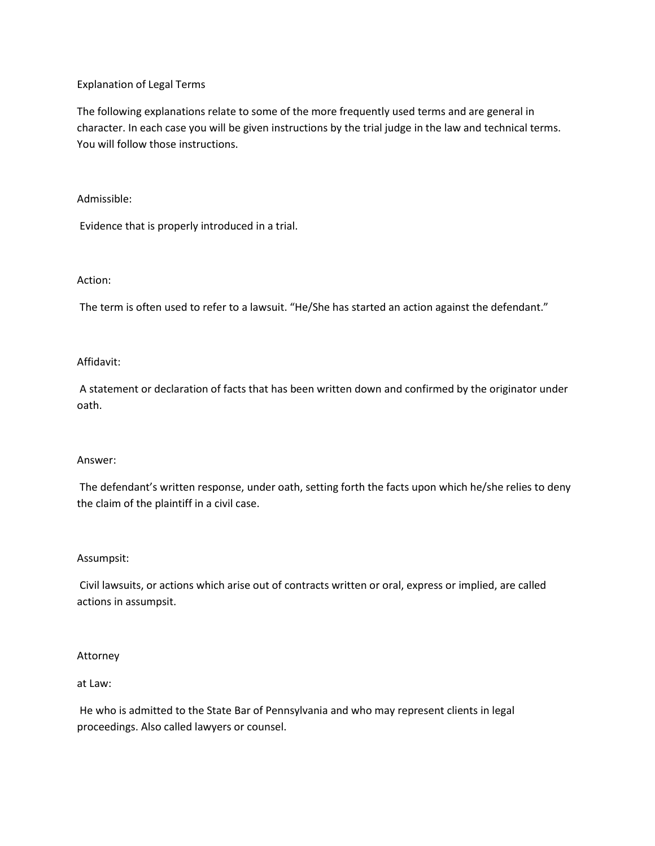# Explanation of Legal Terms

The following explanations relate to some of the more frequently used terms and are general in character. In each case you will be given instructions by the trial judge in the law and technical terms. You will follow those instructions.

# Admissible:

Evidence that is properly introduced in a trial.

## Action:

The term is often used to refer to a lawsuit. "He/She has started an action against the defendant."

# Affidavit:

A statement or declaration of facts that has been written down and confirmed by the originator under oath.

#### Answer:

The defendant's written response, under oath, setting forth the facts upon which he/she relies to deny the claim of the plaintiff in a civil case.

# Assumpsit:

Civil lawsuits, or actions which arise out of contracts written or oral, express or implied, are called actions in assumpsit.

#### Attorney

#### at Law:

He who is admitted to the State Bar of Pennsylvania and who may represent clients in legal proceedings. Also called lawyers or counsel.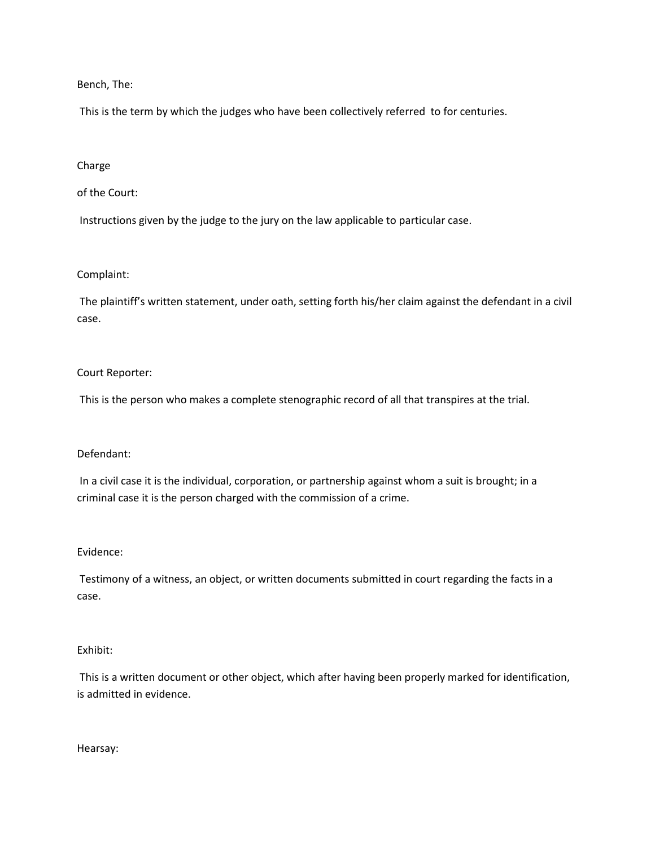Bench, The:

This is the term by which the judges who have been collectively referred to for centuries.

## Charge

# of the Court:

Instructions given by the judge to the jury on the law applicable to particular case.

## Complaint:

The plaintiff's written statement, under oath, setting forth his/her claim against the defendant in a civil case.

## Court Reporter:

This is the person who makes a complete stenographic record of all that transpires at the trial.

#### Defendant:

In a civil case it is the individual, corporation, or partnership against whom a suit is brought; in a criminal case it is the person charged with the commission of a crime.

#### Evidence:

Testimony of a witness, an object, or written documents submitted in court regarding the facts in a case.

### Exhibit:

This is a written document or other object, which after having been properly marked for identification, is admitted in evidence.

Hearsay: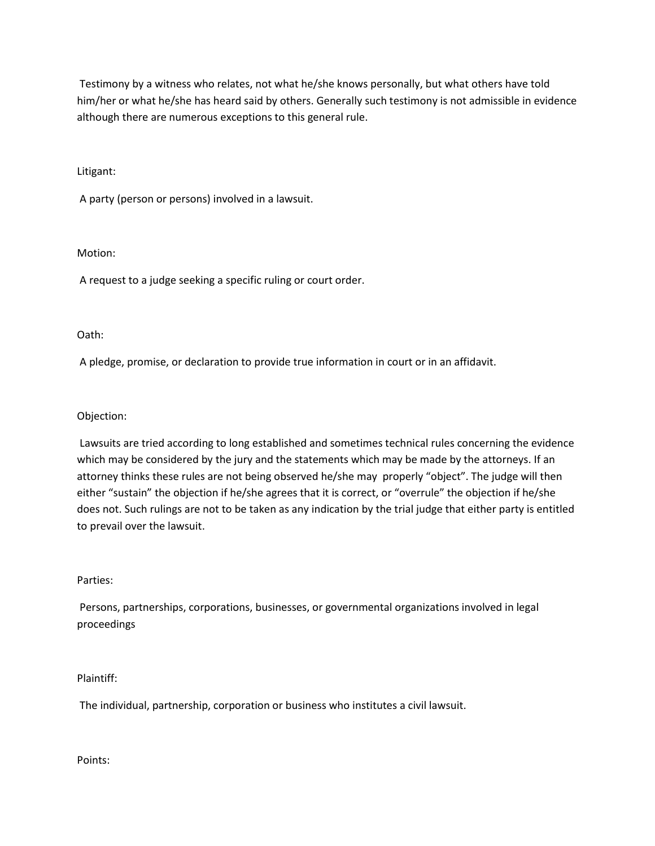Testimony by a witness who relates, not what he/she knows personally, but what others have told him/her or what he/she has heard said by others. Generally such testimony is not admissible in evidence although there are numerous exceptions to this general rule.

Litigant:

A party (person or persons) involved in a lawsuit.

Motion:

A request to a judge seeking a specific ruling or court order.

Oath:

A pledge, promise, or declaration to provide true information in court or in an affidavit.

Objection:

Lawsuits are tried according to long established and sometimes technical rules concerning the evidence which may be considered by the jury and the statements which may be made by the attorneys. If an attorney thinks these rules are not being observed he/she may properly "object". The judge will then either "sustain" the objection if he/she agrees that it is correct, or "overrule" the objection if he/she does not. Such rulings are not to be taken as any indication by the trial judge that either party is entitled to prevail over the lawsuit.

Parties:

Persons, partnerships, corporations, businesses, or governmental organizations involved in legal proceedings

Plaintiff:

The individual, partnership, corporation or business who institutes a civil lawsuit.

Points: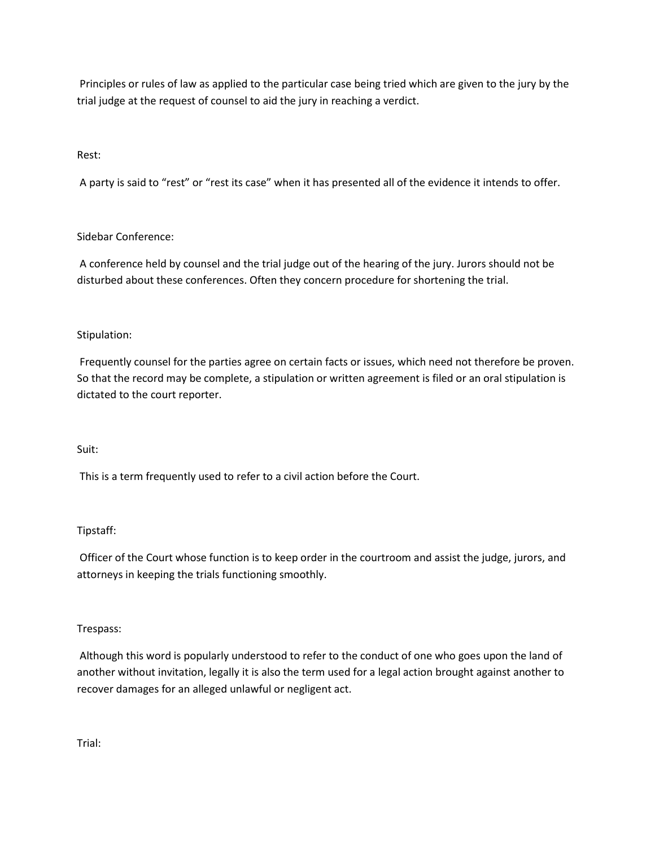Principles or rules of law as applied to the particular case being tried which are given to the jury by the trial judge at the request of counsel to aid the jury in reaching a verdict.

# Rest:

A party is said to "rest" or "rest its case" when it has presented all of the evidence it intends to offer.

# Sidebar Conference:

A conference held by counsel and the trial judge out of the hearing of the jury. Jurors should not be disturbed about these conferences. Often they concern procedure for shortening the trial.

# Stipulation:

Frequently counsel for the parties agree on certain facts or issues, which need not therefore be proven. So that the record may be complete, a stipulation or written agreement is filed or an oral stipulation is dictated to the court reporter.

# Suit:

This is a term frequently used to refer to a civil action before the Court.

# Tipstaff:

Officer of the Court whose function is to keep order in the courtroom and assist the judge, jurors, and attorneys in keeping the trials functioning smoothly.

# Trespass:

Although this word is popularly understood to refer to the conduct of one who goes upon the land of another without invitation, legally it is also the term used for a legal action brought against another to recover damages for an alleged unlawful or negligent act.

Trial: